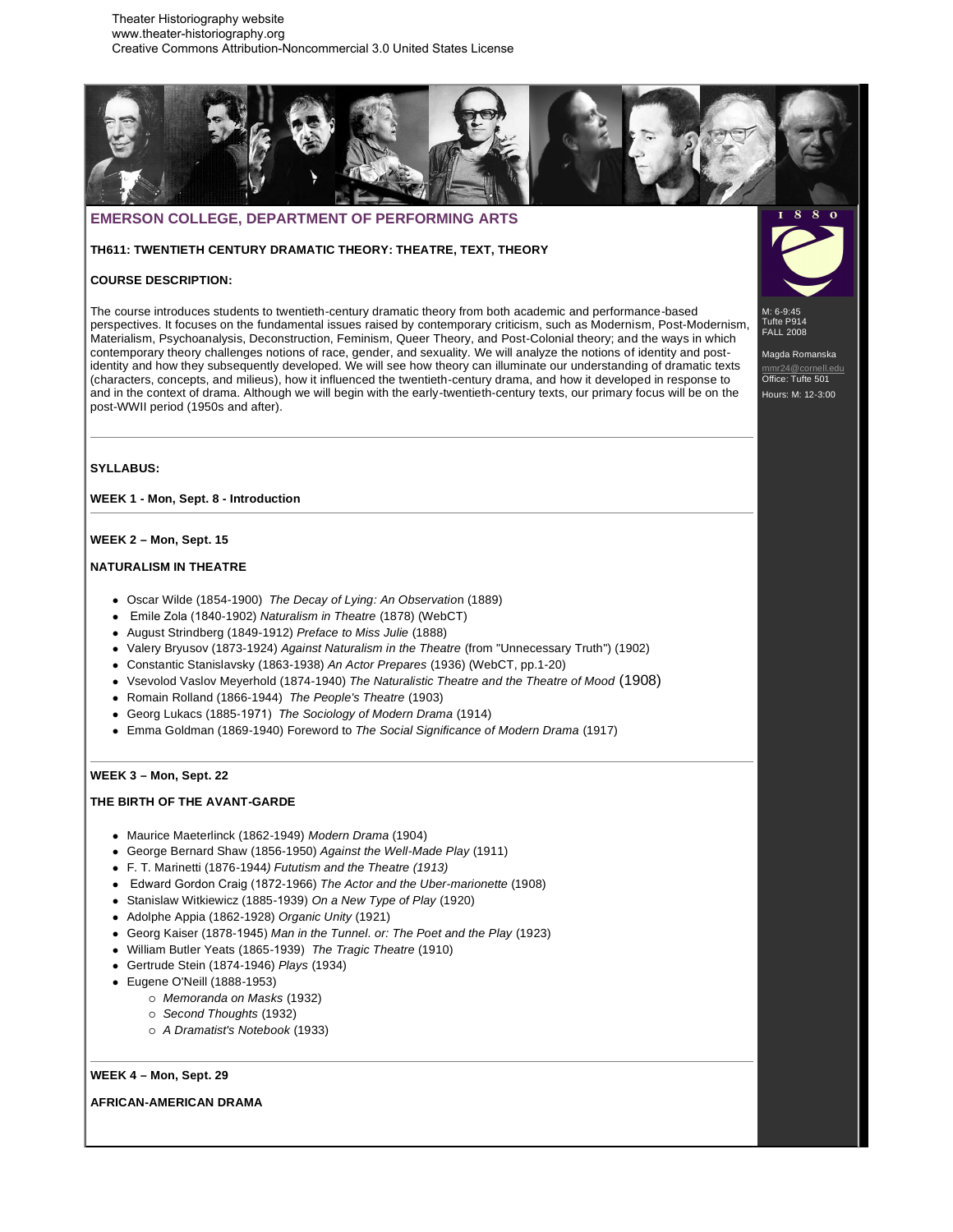Theater Historiography website www.theater-historiography.org Creative Commons Attribution-Noncommercial 3.0 United States License



# **EMERSON COLLEGE, DEPARTMENT OF PERFORMING ARTS**

**TH611: TWENTIETH CENTURY DRAMATIC THEORY: THEATRE, TEXT, THEORY** 

# **COURSE DESCRIPTION:**

The course introduces students to twentieth-century dramatic theory from both academic and performance-based perspectives. It focuses on the fundamental issues raised by contemporary criticism, such as Modernism, Post-Modernism, Materialism, Psychoanalysis, Deconstruction, Feminism, Queer Theory, and Post-Colonial theory; and the ways in which contemporary theory challenges notions of race, gender, and sexuality. We will analyze the notions of identity and postidentity and how they subsequently developed. We will see how theory can illuminate our understanding of dramatic texts (characters, concepts, and milieus), how it influenced the twentieth-century drama, and how it developed in response to and in the context of drama. Although we will begin with the early-twentieth-century texts, our primary focus will be on the post-WWII period (1950s and after).

M: 6-9:45 Tufte P914 FALL 2008

Magda Romanska <u>r24@cornell.edu</u> Office: Tufte 501 Hours: M: 12-3:00

# **SYLLABUS:**

**WEEK 1 - Mon, Sept. 8 - Introduction**

#### **WEEK 2 – Mon, Sept. 15**

# **NATURALISM IN THEATRE**

- Oscar Wilde (1854-1900) *The Decay of Lying: An Observatio*n (1889)
- Emile Zola (1840-1902) *Naturalism in Theatre* (1878) (WebCT)
- August Strindberg (1849-1912) *Preface to Miss Julie* (1888)
- Valery Bryusov (1873-1924) *Against Naturalism in the Theatre* (from "Unnecessary Truth") (1902)
- Constantic Stanislavsky (1863-1938) *An Actor Prepares* (1936) (WebCT, pp.1-20)
- Vsevolod Vaslov Meyerhold (1874-1940) *The Naturalistic Theatre and the Theatre of Mood* (1908)
- Romain Rolland (1866-1944) *The People's Theatre* (1903)
- Georg Lukacs (1885-1971) *The Sociology of Modern Drama* (1914)
- Emma Goldman (1869-1940) Foreword to *The Social Significance of Modern Drama* (1917)

## **WEEK 3 – Mon, Sept. 22**

### **THE BIRTH OF THE AVANT-GARDE**

- Maurice Maeterlinck (1862-1949) *Modern Drama* (1904)
- George Bernard Shaw (1856-1950) *Against the Well-Made Play* (1911)
- F. T. Marinetti (1876-1944*) Fututism and the Theatre (1913)*
- Edward Gordon Craig (1872-1966) *The Actor and the Uber-marionette* (1908)
- Stanislaw Witkiewicz (1885-1939) *On a New Type of Play* (1920)
- Adolphe Appia (1862-1928) *Organic Unity* (1921)
- Georg Kaiser (1878-1945) *Man in the Tunnel. or: The Poet and the Play* (1923)
- William Butler Yeats (1865-1939) *The Tragic Theatre* (1910)
- Gertrude Stein (1874-1946) *Plays* (1934)
- Eugene O'Neill (1888-1953)
	- *Memoranda on Masks* (1932)
	- *Second Thoughts* (1932)
	- *A Dramatist's Notebook* (1933)

### **WEEK 4 – Mon, Sept. 29**

# **AFRICAN-AMERICAN DRAMA**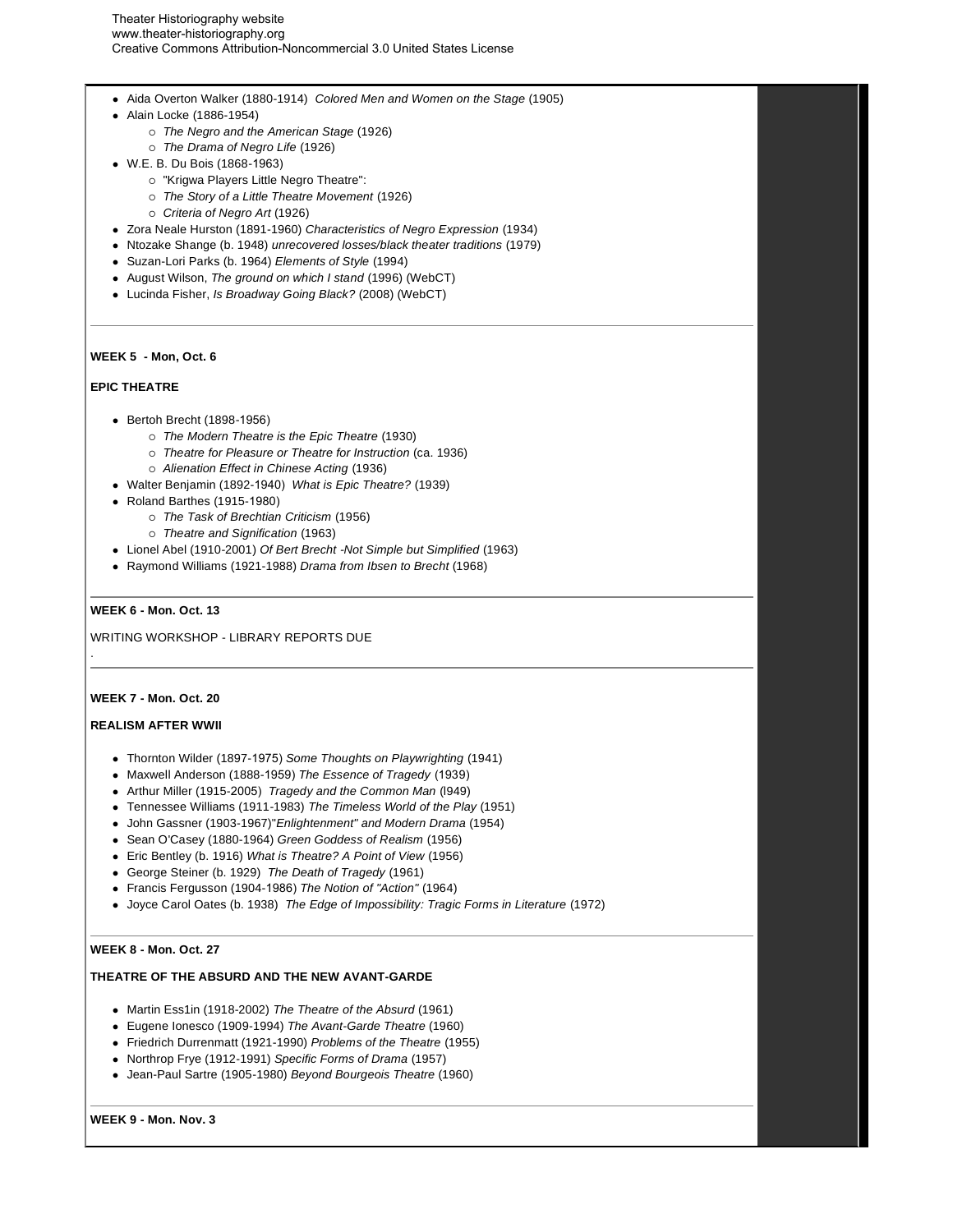- Aida Overton Walker (1880-1914) *Colored Men and Women on the Stage* (1905)
- Alain Locke (1886-1954)
	- *The Negro and the American Stage* (1926)
	- *The Drama of Negro Life* (1926)
- W.E. B. Du Bois (1868-1963)
	- "Krigwa Players Little Negro Theatre":
	- *The Story of a Little Theatre Movement* (1926)
	- *Criteria of Negro Art* (1926)
- Zora Neale Hurston (1891-1960) *Characteristics of Negro Expression* (1934)
- Ntozake Shange (b. 1948) *unrecovered losses/black theater traditions* (1979)
- Suzan-Lori Parks (b. 1964) *Elements of Style* (1994)
- August Wilson, *The ground on which I stand* (1996) (WebCT)
- Lucinda Fisher, *Is Broadway Going Black?* (2008) (WebCT)

### **WEEK 5 - Mon, Oct. 6**

### **EPIC THEATRE**

- Bertoh Brecht (1898-1956)
	- *The Modern Theatre is the Epic Theatre* (1930)
	- *Theatre for Pleasure or Theatre for Instruction* (ca. 1936)
	- *Alienation Effect in Chinese Acting* (1936)
- Walter Benjamin (1892-1940) *What is Epic Theatre?* (1939)
- Roland Barthes (1915-1980)
	- *The Task of Brechtian Criticism* (1956)
	- *Theatre and Signification* (1963)
- Lionel Abel (1910-2001) *Of Bert Brecht -Not Simple but Simplified* (1963)
- Raymond Williams (1921-1988) *Drama from Ibsen to Brecht* (1968)

# **WEEK 6 - Mon. Oct. 13**

WRITING WORKSHOP - LIBRARY REPORTS DUE

# **WEEK 7 - Mon. Oct. 20**

.

### **REALISM AFTER WWII**

- Thornton Wilder (1897-1975) *Some Thoughts on Playwrighting* (1941)
- Maxwell Anderson (1888-1959) *The Essence of Tragedy* (1939)
- Arthur Miller (1915-2005) *Tragedy and the Common Man* (l949)
- Tennessee Williams (1911-1983) *The Timeless World of the Play* (1951)
- John Gassner (1903-1967)"*Enlightenment" and Modern Drama* (1954)
- Sean O'Casey (1880-1964) *Green Goddess of Realism* (1956)
- Eric Bentley (b. 1916) *What is Theatre? A Point of View* (1956)
- George Steiner (b. 1929) *The Death of Tragedy* (1961)
- Francis Fergusson (1904-1986) *The Notion of "Action"* (1964)
- Joyce Carol Oates (b. 1938) *The Edge of Impossibility: Tragic Forms in Literature* (1972)

## **WEEK 8 - Mon. Oct. 27**

### **THEATRE OF THE ABSURD AND THE NEW AVANT-GARDE**

- Martin Ess1in (1918-2002) *The Theatre of the Absurd* (1961)
- Eugene Ionesco (1909-1994) *The Avant-Garde Theatre* (1960)
- Friedrich Durrenmatt (1921-1990) *Problems of the Theatre* (1955)
- Northrop Frye (1912-1991) *Specific Forms of Drama* (1957)
- Jean-Paul Sartre (1905-1980) *Beyond Bourgeois Theatre* (1960)

#### **WEEK 9 - Mon. Nov. 3**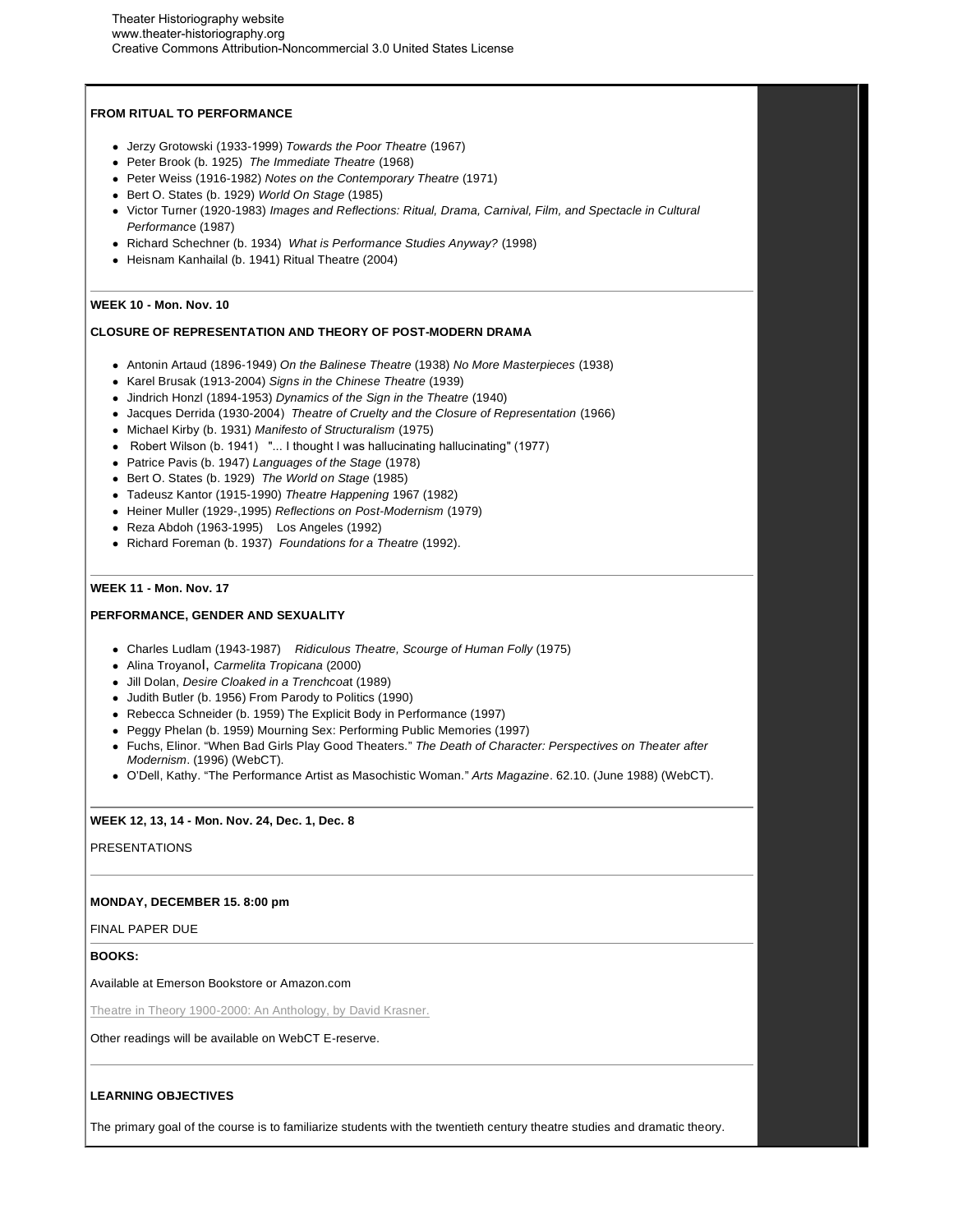# **FROM RITUAL TO PERFORMANCE**

- Jerzy Grotowski (1933-1999) *Towards the Poor Theatre* (1967)
- Peter Brook (b. 1925) *The Immediate Theatre* (1968)
- Peter Weiss (1916-1982) *Notes on the Contemporary Theatre* (1971)
- Bert O. States (b. 1929) *World On Stage* (1985)
- Victor Turner (1920-1983) *Images and Reflections: Ritual, Drama, Carnival, Film, and Spectacle in Cultural Performanc*e (1987)
- Richard Schechner (b. 1934) *What is Performance Studies Anyway?* (1998)
- Heisnam Kanhailal (b. 1941) Ritual Theatre (2004)

### **WEEK 10 - Mon. Nov. 10**

## **CLOSURE OF REPRESENTATION AND THEORY OF POST-MODERN DRAMA**

- Antonin Artaud (1896-1949) *On the Balinese Theatre* (1938) *No More Masterpieces* (1938)
- Karel Brusak (1913-2004) *Signs in the Chinese Theatre* (1939)
- Jindrich Honzl (1894-1953) *Dynamics of the Sign in the Theatre* (1940)
- Jacques Derrida (1930-2004) *Theatre of Cruelty and the Closure of Representation* (1966)
- Michael Kirby (b. 1931) *Manifesto of Structuralism* (1975)
- Robert Wilson (b. 1941) "... I thought I was hallucinating hallucinating" (1977)
- Patrice Pavis (b. 1947) *Languages of the Stage* (1978)
- Bert O. States (b. 1929) *The World on Stage* (1985)
- Tadeusz Kantor (1915-1990) *Theatre Happening* 1967 (1982)
- Heiner Muller (1929-,1995) *Reflections on Post-Modernism* (1979)
- Reza Abdoh (1963-1995) Los Angeles (1992)
- Richard Foreman (b. 1937) *Foundations for a Theatre* (1992).

### **WEEK 11 - Mon. Nov. 17**

# **PERFORMANCE, GENDER AND SEXUALITY**

- Charles Ludlam (1943-1987) *Ridiculous Theatre, Scourge of Human Folly* (1975)
- Alina TroyanoI, *Carmelita Tropicana* (2000)
- Jill Dolan, *Desire Cloaked in a Trenchcoa*t (1989)
- Judith Butler (b. 1956) From Parody to Politics (1990)
- Rebecca Schneider (b. 1959) The Explicit Body in Performance (1997)
- Peggy Phelan (b. 1959) Mourning Sex: Performing Public Memories (1997)
- Fuchs, Elinor. "When Bad Girls Play Good Theaters." *The Death of Character: Perspectives on Theater after Modernism*. (1996) (WebCT).
- O'Dell, Kathy. "The Performance Artist as Masochistic Woman." *Arts Magazine*. 62.10. (June 1988) (WebCT).

### **WEEK 12, 13, 14 - Mon. Nov. 24, Dec. 1, Dec. 8**

PRESENTATIONS

#### **MONDAY, DECEMBER 15. 8:00 pm**

FINAL PAPER DUE

**BOOKS:** 

Available at Emerson Bookstore or Amazon.com

Theatre in Theory 1900-2000: An Anthology, by David Krasner.

Other readings will be available on WebCT E-reserve.

#### **LEARNING OBJECTIVES**

The primary goal of the course is to familiarize students with the twentieth century theatre studies and dramatic theory.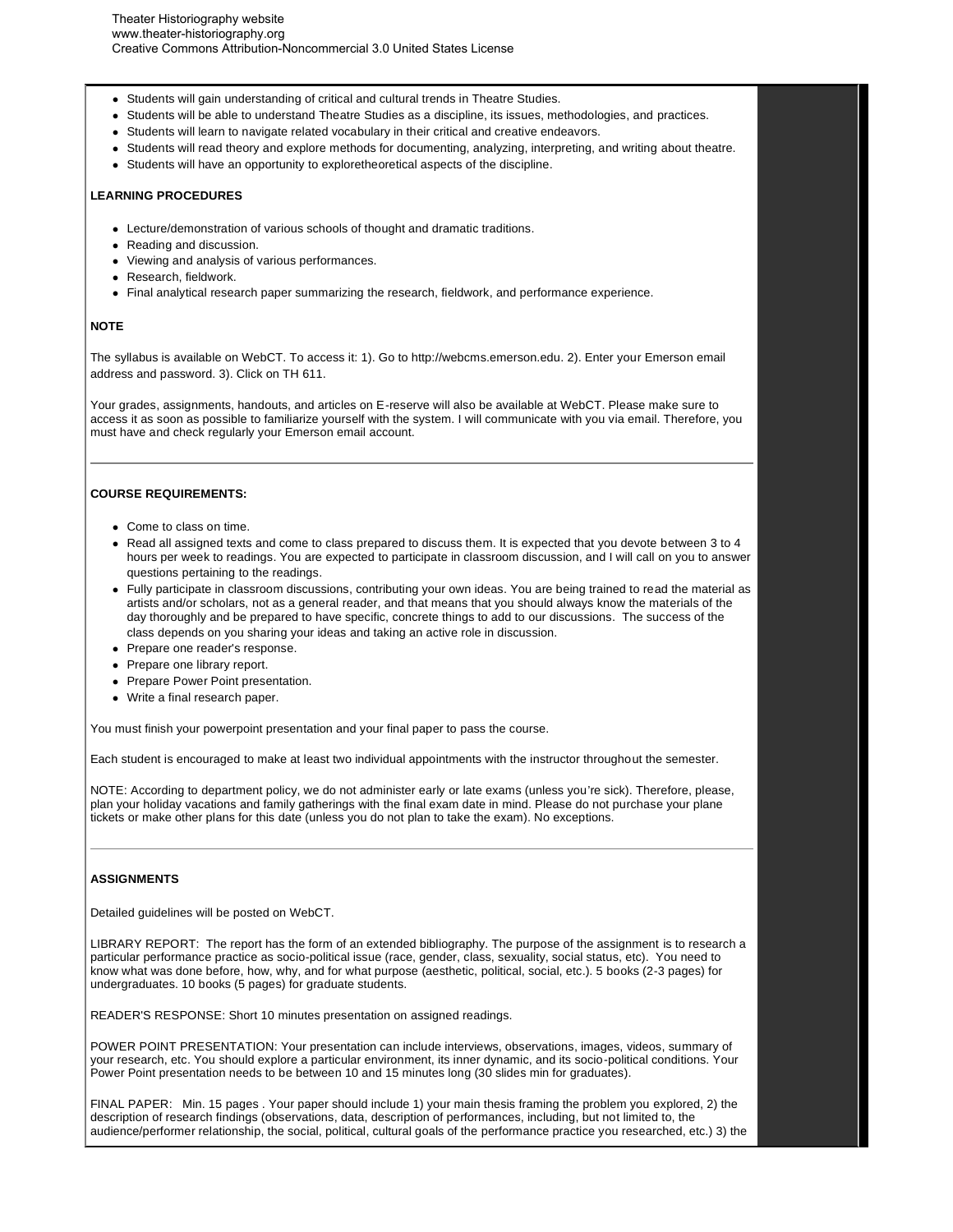- Students will gain understanding of critical and cultural trends in Theatre Studies.
- Students will be able to understand Theatre Studies as a discipline, its issues, methodologies, and practices.
- Students will learn to navigate related vocabulary in their critical and creative endeavors.
- Students will read theory and explore methods for documenting, analyzing, interpreting, and writing about theatre.
- Students will have an opportunity to exploretheoretical aspects of the discipline.

## **LEARNING PROCEDURES**

- Lecture/demonstration of various schools of thought and dramatic traditions.
- Reading and discussion.
- Viewing and analysis of various performances.
- Research, fieldwork.
- Final analytical research paper summarizing the research, fieldwork, and performance experience.

### **NOTE**

The syllabus is available on WebCT. To access it: 1). Go to http://webcms.emerson.edu. 2). Enter your Emerson email address and password. 3). Click on TH 611.

Your grades, assignments, handouts, and articles on E-reserve will also be available at WebCT. Please make sure to access it as soon as possible to familiarize yourself with the system. I will communicate with you via email. Therefore, you must have and check regularly your Emerson email account.

### **COURSE REQUIREMENTS:**

- **Come to class on time.**
- Read all assigned texts and come to class prepared to discuss them. It is expected that you devote between 3 to 4 hours per week to readings. You are expected to participate in classroom discussion, and I will call on you to answer questions pertaining to the readings.
- Fully participate in classroom discussions, contributing your own ideas. You are being trained to read the material as artists and/or scholars, not as a general reader, and that means that you should always know the materials of the day thoroughly and be prepared to have specific, concrete things to add to our discussions. The success of the class depends on you sharing your ideas and taking an active role in discussion.
- Prepare one reader's response.
- Prepare one library report.
- Prepare Power Point presentation.
- Write a final research paper.

You must finish your powerpoint presentation and your final paper to pass the course.

Each student is encouraged to make at least two individual appointments with the instructor throughout the semester.

NOTE: According to department policy, we do not administer early or late exams (unless you're sick). Therefore, please, plan your holiday vacations and family gatherings with the final exam date in mind. Please do not purchase your plane tickets or make other plans for this date (unless you do not plan to take the exam). No exceptions.

#### **ASSIGNMENTS**

Detailed guidelines will be posted on WebCT.

LIBRARY REPORT: The report has the form of an extended bibliography. The purpose of the assignment is to research a particular performance practice as socio-political issue (race, gender, class, sexuality, social status, etc). You need to know what was done before, how, why, and for what purpose (aesthetic, political, social, etc.). 5 books (2-3 pages) for undergraduates. 10 books (5 pages) for graduate students.

READER'S RESPONSE: Short 10 minutes presentation on assigned readings.

POWER POINT PRESENTATION: Your presentation can include interviews, observations, images, videos, summary of your research, etc. You should explore a particular environment, its inner dynamic, and its socio-political conditions. Your Power Point presentation needs to be between 10 and 15 minutes long (30 slides min for graduates).

FINAL PAPER: Min. 15 pages . Your paper should include 1) your main thesis framing the problem you explored, 2) the description of research findings (observations, data, description of performances, including, but not limited to, the audience/performer relationship, the social, political, cultural goals of the performance practice you researched, etc.) 3) the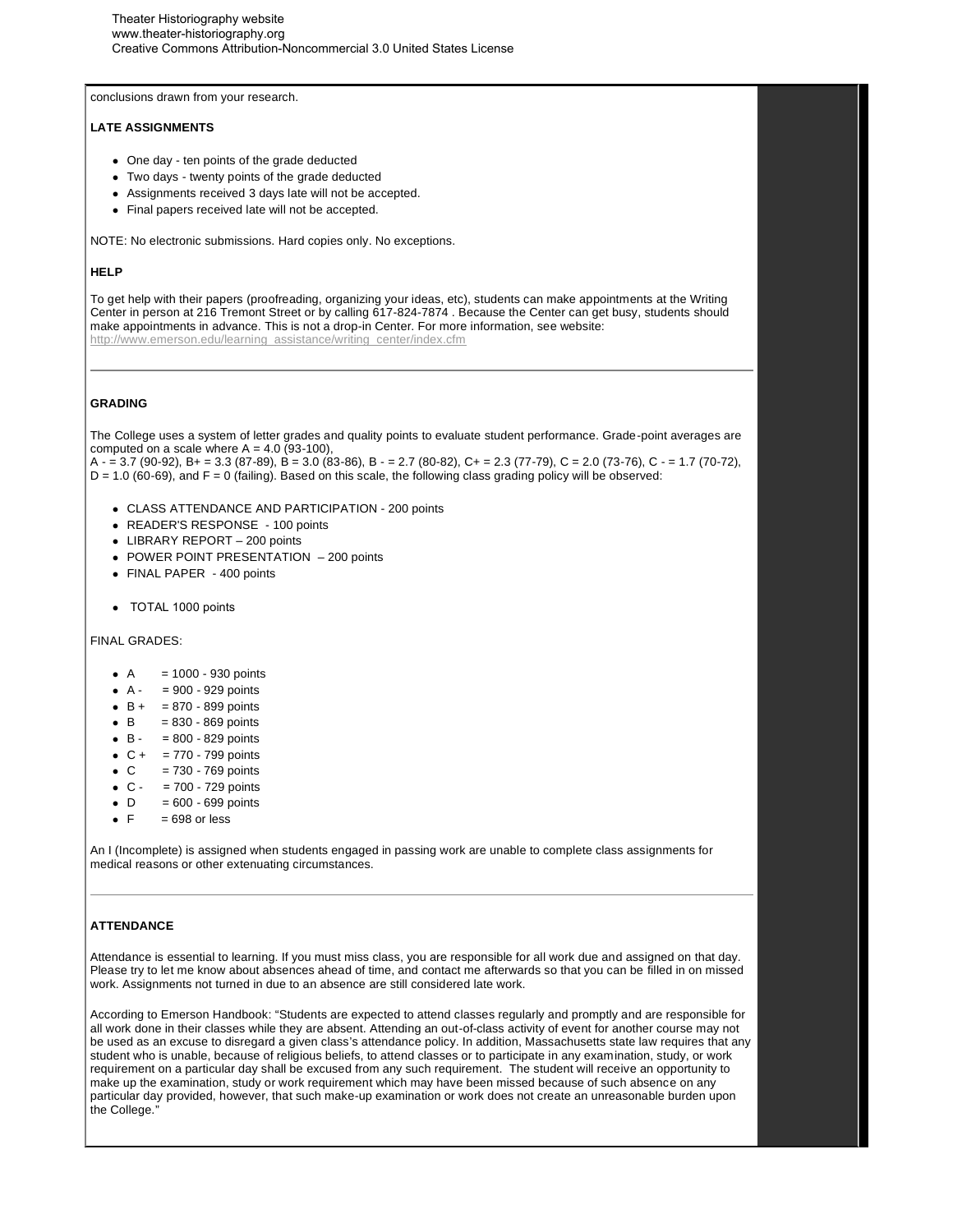conclusions drawn from your research.

# **LATE ASSIGNMENTS**

- One day ten points of the grade deducted
- Two days twenty points of the grade deducted
- Assignments received 3 days late will not be accepted.
- Final papers received late will not be accepted.

NOTE: No electronic submissions. Hard copies only. No exceptions.

### **HELP**

To get help with their papers (proofreading, organizing your ideas, etc), students can make appointments at the Writing Center in person at 216 Tremont Street or by calling 617-824-7874 . Because the Center can get busy, students should make appointments in advance. This is not a drop-in Center. For more information, see website: http://www.emerson.edu/learning\_assistance/writing\_center/index.cfm

### **GRADING**

The College uses a system of letter grades and quality points to evaluate student performance. Grade-point averages are computed on a scale where  $A = 4.0$  (93-100).

A - = 3.7 (90-92), B+ = 3.3 (87-89), B = 3.0 (83-86), B - = 2.7 (80-82), C+ = 2.3 (77-79), C = 2.0 (73-76), C - = 1.7 (70-72),  $D = 1.0$  (60-69), and  $F = 0$  (failing). Based on this scale, the following class grading policy will be observed:

- CLASS ATTENDANCE AND PARTICIPATION 200 points
- READER'S RESPONSE 100 points
- LIBRARY REPORT 200 points
- POWER POINT PRESENTATION 200 points
- FINAL PAPER 400 points
- TOTAL 1000 points

FINAL GRADES:

- $\bullet$  A = 1000 930 points
- $\bullet$  A = 900 929 points
- $-B + = 870 899$  points
- $\bullet$  B = 830 869 points
- $\bullet$  B = 800 829 points
- $C + = 770 799$  points
- $C = 730 769$  points
- $\bullet$  C = 700 729 points
- $\bullet$  D = 600 699 points
- $\bullet$  F = 698 or less

An I (Incomplete) is assigned when students engaged in passing work are unable to complete class assignments for medical reasons or other extenuating circumstances.

# **ATTENDANCE**

Attendance is essential to learning. If you must miss class, you are responsible for all work due and assigned on that day. Please try to let me know about absences ahead of time, and contact me afterwards so that you can be filled in on missed work. Assignments not turned in due to an absence are still considered late work.

According to Emerson Handbook: "Students are expected to attend classes regularly and promptly and are responsible for all work done in their classes while they are absent. Attending an out-of-class activity of event for another course may not be used as an excuse to disregard a given class's attendance policy. In addition, Massachusetts state law requires that any student who is unable, because of religious beliefs, to attend classes or to participate in any examination, study, or work requirement on a particular day shall be excused from any such requirement. The student will receive an opportunity to make up the examination, study or work requirement which may have been missed because of such absence on any particular day provided, however, that such make-up examination or work does not create an unreasonable burden upon the College."